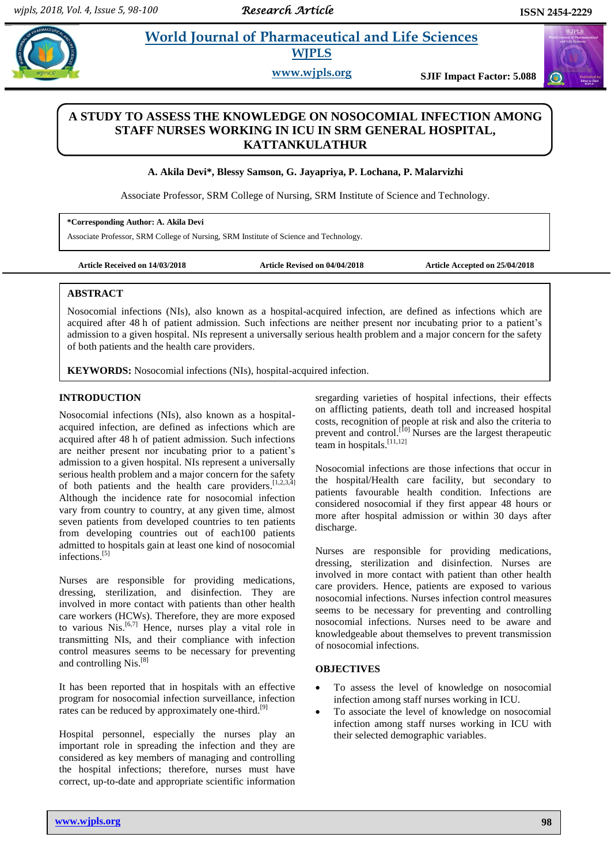# **Akila** *E**World Journal of Pharmaceutical and Life Sciences* **WJPLS**

**www.wjpls.org SJIF Impact Factor: 5.088**

# **A STUDY TO ASSESS THE KNOWLEDGE ON NOSOCOMIAL INFECTION AMONG STAFF NURSES WORKING IN ICU IN SRM GENERAL HOSPITAL, KATTANKULATHUR**

# **A. Akila Devi\*, Blessy Samson, G. Jayapriya, P. Lochana, P. Malarvizhi**

Associate Professor, SRM College of Nursing, SRM Institute of Science and Technology.

**\*Corresponding Author: A. Akila Devi**

Associate Professor, SRM College of Nursing, SRM Institute of Science and Technology.

**Article Received on 14/03/2018 Article Revised on 04/04/2018 Article Accepted on 25/04/2018**

# [1] **ABSTRACT**

Nosocomial infections (NIs), also known as a hospital-acquired infection, are defined as infections which are acquired after 48 h of patient admission. Such infections are neither present nor incubating prior to a patient's admission to a given hospital. NIs represent a universally serious health problem and a major concern for the safety of both patients and the health care providers.

**KEYWORDS:** Nosocomial infections (NIs), hospital-acquired infection.

# **INTRODUCTION**

Nosocomial infections (NIs), also known as a hospitalacquired infection, are defined as infections which are acquired after 48 h of patient admission. Such infections are neither present nor incubating prior to a patient's admission to a given hospital. NIs represent a universally serious health problem and a major concern for the safety of both patients and the health care providers. [1,2,3,4] Although the incidence rate for nosocomial infection vary from country to country, at any given time, almost seven patients from developed countries to ten patients from developing countries out of each100 patients admitted to hospitals gain at least one kind of nosocomial infections. [5]

Nurses are responsible for providing medications, dressing, sterilization, and disinfection. They are involved in more contact with patients than other health care workers (HCWs). Therefore, they are more exposed to various Nis. [6,7] Hence, nurses play a vital role in transmitting NIs, and their compliance with infection control measures seems to be necessary for preventing and controlling Nis.<sup>[8]</sup>

It has been reported that in hospitals with an effective program for nosocomial infection surveillance, infection rates can be reduced by approximately one-third.<sup>[9]</sup>

Hospital personnel, especially the nurses play an important role in spreading the infection and they are considered as key members of managing and controlling the hospital infections; therefore, nurses must have correct, up-to-date and appropriate scientific information sregarding varieties of hospital infections, their effects on afflicting patients, death toll and increased hospital costs, recognition of people at risk and also the criteria to prevent and control.<sup>[10]</sup> Nurses are the largest therapeutic team in hospitals.<sup>[11,12]</sup>

Nosocomial infections are those infections that occur in the hospital/Health care facility, but secondary to patients favourable health condition. Infections are considered nosocomial if they first appear 48 hours or more after hospital admission or within 30 days after discharge.

Nurses are responsible for providing medications, dressing, sterilization and disinfection. Nurses are involved in more contact with patient than other health care providers. Hence, patients are exposed to various nosocomial infections. Nurses infection control measures seems to be necessary for preventing and controlling nosocomial infections. Nurses need to be aware and knowledgeable about themselves to prevent transmission of nosocomial infections.

# **OBJECTIVES**

- To assess the level of knowledge on nosocomial infection among staff nurses working in ICU.
- To associate the level of knowledge on nosocomial infection among staff nurses working in ICU with their selected demographic variables.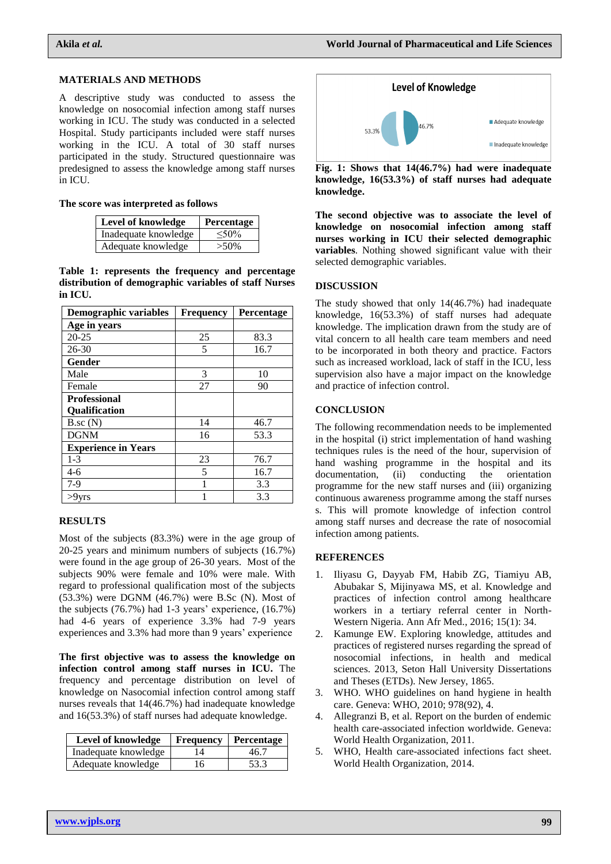#### **MATERIALS AND METHODS**

A descriptive study was conducted to assess the knowledge on nosocomial infection among staff nurses working in ICU. The study was conducted in a selected Hospital. Study participants included were staff nurses working in the ICU. A total of 30 staff nurses participated in the study. Structured questionnaire was predesigned to assess the knowledge among staff nurses in ICU.

#### **The score was interpreted as follows**

| Level of knowledge   | Percentage |  |
|----------------------|------------|--|
| Inadequate knowledge | $<$ 50%    |  |
| Adequate knowledge   | $>50\%$    |  |

**Table 1: represents the frequency and percentage distribution of demographic variables of staff Nurses in ICU.**

| Demographic variables      | <b>Frequency</b> | Percentage |
|----------------------------|------------------|------------|
| Age in years               |                  |            |
| $20 - 25$                  | 25               | 83.3       |
| 26-30                      | 5                | 16.7       |
| Gender                     |                  |            |
| Male                       | 3                | 10         |
| Female                     | 27               | 90         |
| <b>Professional</b>        |                  |            |
| <b>Oualification</b>       |                  |            |
| $B$ .sc $(N)$              | 14               | 46.7       |
| <b>DGNM</b>                | 16               | 53.3       |
| <b>Experience in Years</b> |                  |            |
| $1-3$                      | 23               | 76.7       |
| $4-6$                      | 5                | 16.7       |
| 7-9                        |                  | 3.3        |
| >9yrs                      |                  | 3.3        |

# **RESULTS**

Most of the subjects (83.3%) were in the age group of 20-25 years and minimum numbers of subjects (16.7%) were found in the age group of 26-30 years. Most of the subjects 90% were female and 10% were male. With regard to professional qualification most of the subjects (53.3%) were DGNM (46.7%) were B.Sc (N). Most of the subjects (76.7%) had 1-3 years' experience, (16.7%) had 4-6 years of experience 3.3% had 7-9 years experiences and 3.3% had more than 9 years' experience

**The first objective was to assess the knowledge on infection control among staff nurses in ICU.** The frequency and percentage distribution on level of knowledge on Nasocomial infection control among staff nurses reveals that 14(46.7%) had inadequate knowledge and 16(53.3%) of staff nurses had adequate knowledge.

| <b>Level of knowledge</b> | Frequency | Percentage |
|---------------------------|-----------|------------|
| Inadequate knowledge      | 14        | 46.7       |
| Adequate knowledge        | 16        | 53.3       |



**Fig. 1: Shows that 14(46.7%) had were inadequate knowledge, 16(53.3%) of staff nurses had adequate knowledge.**

**The second objective was to associate the level of knowledge on nosocomial infection among staff nurses working in ICU their selected demographic variables**. Nothing showed significant value with their selected demographic variables.

### **DISCUSSION**

The study showed that only 14(46.7%) had inadequate knowledge, 16(53.3%) of staff nurses had adequate knowledge. The implication drawn from the study are of vital concern to all health care team members and need to be incorporated in both theory and practice. Factors such as increased workload, lack of staff in the ICU, less supervision also have a major impact on the knowledge and practice of infection control.

#### **CONCLUSION**

The following recommendation needs to be implemented in the hospital (i) strict implementation of hand washing techniques rules is the need of the hour, supervision of hand washing programme in the hospital and its documentation, (ii) conducting the orientation programme for the new staff nurses and (iii) organizing continuous awareness programme among the staff nurses s. This will promote knowledge of infection control among staff nurses and decrease the rate of nosocomial infection among patients.

#### **REFERENCES**

- 1. Iliyasu G, Dayyab FM, Habib ZG, Tiamiyu AB, Abubakar S, Mijinyawa MS, et al. Knowledge and practices of infection control among healthcare workers in a tertiary referral center in North-Western Nigeria. Ann Afr Med., 2016; 15(1): 34.
- 2. Kamunge EW. Exploring knowledge, attitudes and practices of registered nurses regarding the spread of nosocomial infections, in health and medical sciences. 2013, Seton Hall University Dissertations and Theses (ETDs). New Jersey, 1865.
- 3. WHO. WHO guidelines on hand hygiene in health care. Geneva: WHO, 2010; 978(92), 4.
- 4. Allegranzi B, et al. Report on the burden of endemic health care-associated infection worldwide. Geneva: World Health Organization, 2011.
- 5. WHO, Health care-associated infections fact sheet. World Health Organization, 2014.